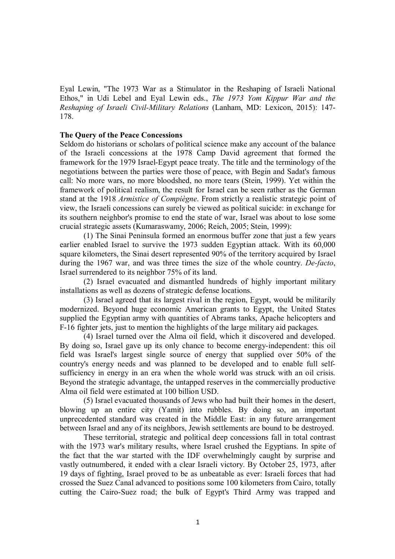Eyal Lewin, "The 1973 War as a Stimulator in the Reshaping of Israeli National Ethos," in Udi Lebel and Eyal Lewin eds., *The 1973 Yom Kippur War and the Reshaping of Israeli Civil-Military Relations* (Lanham, MD: Lexicon, 2015): 147- 178.

# **The Query of the Peace Concessions**

Seldom do historians or scholars of political science make any account of the balance of the Israeli concessions at the 1978 Camp David agreement that formed the framework for the 1979 Israel-Egypt peace treaty. The title and the terminology of the negotiations between the parties were those of peace, with Begin and Sadat's famous call: No more wars, no more bloodshed, no more tears (Stein, 1999). Yet within the framework of political realism, the result for Israel can be seen rather as the German stand at the 1918 *Armistice of Compiègne*. From strictly a realistic strategic point of view, the Israeli concessions can surely be viewed as political suicide: in exchange for its southern neighbor's promise to end the state of war, Israel was about to lose some crucial strategic assets (Kumaraswamy, 2006; Reich, 2005; Stein, 1999):

(1) The Sinai Peninsula formed an enormous buffer zone that just a few years earlier enabled Israel to survive the 1973 sudden Egyptian attack. With its 60,000 square kilometers, the Sinai desert represented 90% of the territory acquired by Israel during the 1967 war, and was three times the size of the whole country. *De-facto*, Israel surrendered to its neighbor 75% of its land.

(2) Israel evacuated and dismantled hundreds of highly important military installations as well as dozens of strategic defense locations.

(3) Israel agreed that its largest rival in the region, Egypt, would be militarily modernized. Beyond huge economic American grants to Egypt, the United States supplied the Egyptian army with quantities of Abrams tanks, Apache helicopters and F-16 fighter jets, just to mention the highlights of the large military aid packages.

(4) Israel turned over the Alma oil field, which it discovered and developed. By doing so, Israel gave up its only chance to become energy-independent: this oil field was Israel's largest single source of energy that supplied over 50% of the country's energy needs and was planned to be developed and to enable full selfsufficiency in energy in an era when the whole world was struck with an oil crisis. Beyond the strategic advantage, the untapped reserves in the commercially productive Alma oil field were estimated at 100 billion USD.

(5) Israel evacuated thousands of Jews who had built their homes in the desert, blowing up an entire city (Yamit) into rubbles. By doing so, an important unprecedented standard was created in the Middle East: in any future arrangement between Israel and any of its neighbors, Jewish settlements are bound to be destroyed.

These territorial, strategic and political deep concessions fall in total contrast with the 1973 war's military results, where Israel crushed the Egyptians. In spite of the fact that the war started with the IDF overwhelmingly caught by surprise and vastly outnumbered, it ended with a clear Israeli victory. By October 25, 1973, after 19 days of fighting, Israel proved to be as unbeatable as ever: Israeli forces that had crossed the Suez Canal advanced to positions some 100 kilometers from Cairo, totally cutting the Cairo-Suez road; the bulk of Egypt's Third Army was trapped and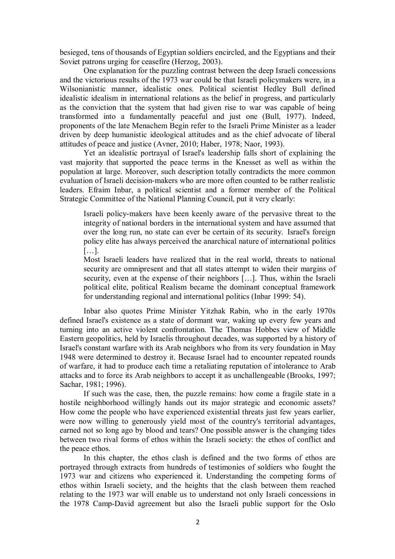besieged, tens of thousands of Egyptian soldiers encircled, and the Egyptians and their Soviet patrons urging for ceasefire (Herzog, 2003).

One explanation for the puzzling contrast between the deep Israeli concessions and the victorious results of the 1973 war could be that Israeli policymakers were, in a Wilsonianistic manner, idealistic ones. Political scientist Hedley Bull defined idealistic idealism in international relations as the belief in progress, and particularly as the conviction that the system that had given rise to war was capable of being transformed into a fundamentally peaceful and just one (Bull, 1977). Indeed, proponents of the late Menachem Begin refer to the Israeli Prime Minister as a leader driven by deep humanistic ideological attitudes and as the chief advocate of liberal attitudes of peace and justice (Avner, 2010; Haber, 1978; Naor, 1993).

Yet an idealistic portrayal of Israel's leadership falls short of explaining the vast majority that supported the peace terms in the Knesset as well as within the population at large. Moreover, such description totally contradicts the more common evaluation of Israeli decision-makers who are more often counted to be rather realistic leaders. Efraim Inbar, a political scientist and a former member of the Political Strategic Committee of the National Planning Council, put it very clearly:

Israeli policy-makers have been keenly aware of the pervasive threat to the integrity of national borders in the international system and have assumed that over the long run, no state can ever be certain of its security. Israel's foreign policy elite has always perceived the anarchical nature of international politics […].

Most Israeli leaders have realized that in the real world, threats to national security are omnipresent and that all states attempt to widen their margins of security, even at the expense of their neighbors […]. Thus, within the Israeli political elite, political Realism became the dominant conceptual framework for understanding regional and international politics (Inbar 1999: 54).

Inbar also quotes Prime Minister Yitzhak Rabin, who in the early 1970s defined Israel's existence as a state of dormant war, waking up every few years and turning into an active violent confrontation. The Thomas Hobbes view of Middle Eastern geopolitics, held by Israelis throughout decades, was supported by a history of Israel's constant warfare with its Arab neighbors who from its very foundation in May 1948 were determined to destroy it. Because Israel had to encounter repeated rounds of warfare, it had to produce each time a retaliating reputation of intolerance to Arab attacks and to force its Arab neighbors to accept it as unchallengeable (Brooks, 1997; Sachar, 1981; 1996).

If such was the case, then, the puzzle remains: how come a fragile state in a hostile neighborhood willingly hands out its major strategic and economic assets? How come the people who have experienced existential threats just few years earlier, were now willing to generously yield most of the country's territorial advantages, earned not so long ago by blood and tears? One possible answer is the changing tides between two rival forms of ethos within the Israeli society: the ethos of conflict and the peace ethos.

In this chapter, the ethos clash is defined and the two forms of ethos are portrayed through extracts from hundreds of testimonies of soldiers who fought the 1973 war and citizens who experienced it. Understanding the competing forms of ethos within Israeli society, and the heights that the clash between them reached relating to the 1973 war will enable us to understand not only Israeli concessions in the 1978 Camp-David agreement but also the Israeli public support for the Oslo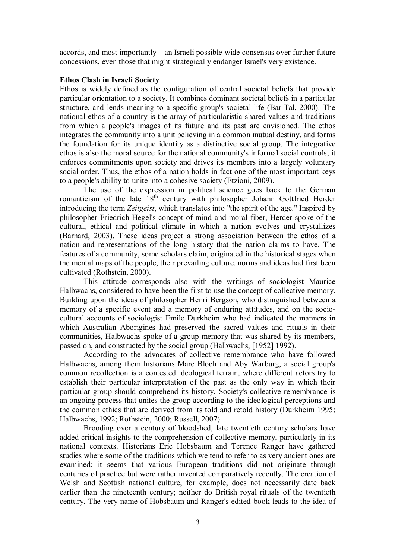accords, and most importantly – an Israeli possible wide consensus over further future concessions, even those that might strategically endanger Israel's very existence.

## **Ethos Clash in Israeli Society**

Ethos is widely defined as the configuration of central societal beliefs that provide particular orientation to a society. It combines dominant societal beliefs in a particular structure, and lends meaning to a specific group's societal life (Bar-Tal, 2000). The national ethos of a country is the array of particularistic shared values and traditions from which a people's images of its future and its past are envisioned. The ethos integrates the community into a unit believing in a common mutual destiny, and forms the foundation for its unique identity as a distinctive social group. The integrative ethos is also the moral source for the national community's informal social controls; it enforces commitments upon society and drives its members into a largely voluntary social order. Thus, the ethos of a nation holds in fact one of the most important keys to a people's ability to unite into a cohesive society (Etzioni, 2009).

The use of the expression in political science goes back to the German romanticism of the late  $18<sup>th</sup>$  century with philosopher Johann Gottfried Herder introducing the term *Zeitgeist*, which translates into "the spirit of the age." Inspired by philosopher Friedrich Hegel's concept of mind and moral fiber, Herder spoke of the cultural, ethical and political climate in which a nation evolves and crystallizes (Barnard, 2003). These ideas project a strong association between the ethos of a nation and representations of the long history that the nation claims to have. The features of a community, some scholars claim, originated in the historical stages when the mental maps of the people, their prevailing culture, norms and ideas had first been cultivated (Rothstein, 2000).

This attitude corresponds also with the writings of sociologist Maurice Halbwachs, considered to have been the first to use the concept of collective memory. Building upon the ideas of philosopher Henri Bergson, who distinguished between a memory of a specific event and a memory of enduring attitudes, and on the sociocultural accounts of sociologist Emile Durkheim who had indicated the manners in which Australian Aborigines had preserved the sacred values and rituals in their communities, Halbwachs spoke of a group memory that was shared by its members, passed on, and constructed by the social group (Halbwachs, [1952] 1992).

According to the advocates of collective remembrance who have followed Halbwachs, among them historians Marc Bloch and Aby Warburg, a social group's common recollection is a contested ideological terrain, where different actors try to establish their particular interpretation of the past as the only way in which their particular group should comprehend its history. Society's collective remembrance is an ongoing process that unites the group according to the ideological perceptions and the common ethics that are derived from its told and retold history (Durkheim 1995; Halbwachs, 1992; Rothstein, 2000; Russell, 2007).

Brooding over a century of bloodshed, late twentieth century scholars have added critical insights to the comprehension of collective memory, particularly in its national contexts. Historians Eric Hobsbaum and Terence Ranger have gathered studies where some of the traditions which we tend to refer to as very ancient ones are examined; it seems that various European traditions did not originate through centuries of practice but were rather invented comparatively recently. The creation of Welsh and Scottish national culture, for example, does not necessarily date back earlier than the nineteenth century; neither do British royal rituals of the twentieth century. The very name of Hobsbaum and Ranger's edited book leads to the idea of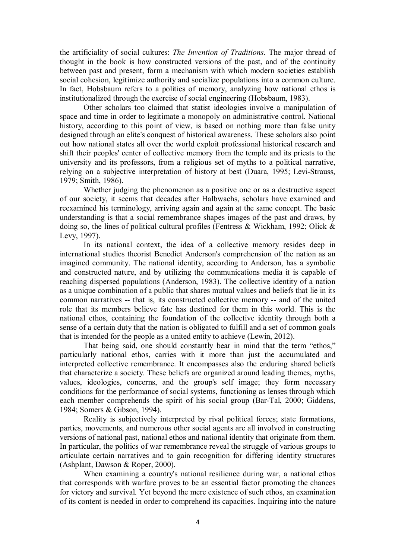the artificiality of social cultures: *The Invention of Traditions*. The major thread of thought in the book is how constructed versions of the past, and of the continuity between past and present, form a mechanism with which modern societies establish social cohesion, legitimize authority and socialize populations into a common culture. In fact, Hobsbaum refers to a politics of memory, analyzing how national ethos is institutionalized through the exercise of social engineering (Hobsbaum, 1983).

Other scholars too claimed that statist ideologies involve a manipulation of space and time in order to legitimate a monopoly on administrative control. National history, according to this point of view, is based on nothing more than false unity designed through an elite's conquest of historical awareness. These scholars also point out how national states all over the world exploit professional historical research and shift their peoples' center of collective memory from the temple and its priests to the university and its professors, from a religious set of myths to a political narrative, relying on a subjective interpretation of history at best (Duara, 1995; Levi-Strauss, 1979; Smith, 1986).

Whether judging the phenomenon as a positive one or as a destructive aspect of our society, it seems that decades after Halbwachs, scholars have examined and reexamined his terminology, arriving again and again at the same concept. The basic understanding is that a social remembrance shapes images of the past and draws, by doing so, the lines of political cultural profiles (Fentress & Wickham, 1992; Olick & Levy, 1997).

In its national context, the idea of a collective memory resides deep in international studies theorist Benedict Anderson's comprehension of the nation as an imagined community. The national identity, according to Anderson, has a symbolic and constructed nature, and by utilizing the communications media it is capable of reaching dispersed populations (Anderson, 1983). The collective identity of a nation as a unique combination of a public that shares mutual values and beliefs that lie in its common narratives -- that is, its constructed collective memory -- and of the united role that its members believe fate has destined for them in this world. This is the national ethos, containing the foundation of the collective identity through both a sense of a certain duty that the nation is obligated to fulfill and a set of common goals that is intended for the people as a united entity to achieve (Lewin, 2012).

That being said, one should constantly bear in mind that the term "ethos," particularly national ethos, carries with it more than just the accumulated and interpreted collective remembrance. It encompasses also the enduring shared beliefs that characterize a society. These beliefs are organized around leading themes, myths, values, ideologies, concerns, and the group's self image; they form necessary conditions for the performance of social systems, functioning as lenses through which each member comprehends the spirit of his social group (Bar-Tal, 2000; Giddens, 1984; Somers & Gibson, 1994).

Reality is subjectively interpreted by rival political forces; state formations, parties, movements, and numerous other social agents are all involved in constructing versions of national past, national ethos and national identity that originate from them. In particular, the politics of war remembrance reveal the struggle of various groups to articulate certain narratives and to gain recognition for differing identity structures (Ashplant, Dawson & Roper, 2000).

When examining a country's national resilience during war, a national ethos that corresponds with warfare proves to be an essential factor promoting the chances for victory and survival. Yet beyond the mere existence of such ethos, an examination of its content is needed in order to comprehend its capacities. Inquiring into the nature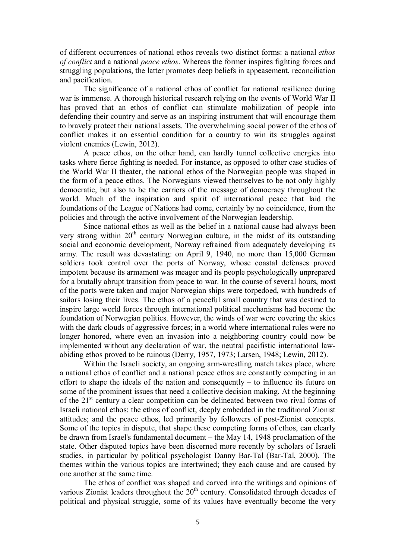of different occurrences of national ethos reveals two distinct forms: a national *ethos of conflict* and a national *peace ethos*. Whereas the former inspires fighting forces and struggling populations, the latter promotes deep beliefs in appeasement, reconciliation and pacification.

The significance of a national ethos of conflict for national resilience during war is immense. A thorough historical research relying on the events of World War II has proved that an ethos of conflict can stimulate mobilization of people into defending their country and serve as an inspiring instrument that will encourage them to bravely protect their national assets. The overwhelming social power of the ethos of conflict makes it an essential condition for a country to win its struggles against violent enemies (Lewin, 2012).

A peace ethos, on the other hand, can hardly tunnel collective energies into tasks where fierce fighting is needed. For instance, as opposed to other case studies of the World War II theater, the national ethos of the Norwegian people was shaped in the form of a peace ethos. The Norwegians viewed themselves to be not only highly democratic, but also to be the carriers of the message of democracy throughout the world. Much of the inspiration and spirit of international peace that laid the foundations of the League of Nations had come, certainly by no coincidence, from the policies and through the active involvement of the Norwegian leadership.

Since national ethos as well as the belief in a national cause had always been very strong within  $20<sup>th</sup>$  century Norwegian culture, in the midst of its outstanding social and economic development, Norway refrained from adequately developing its army. The result was devastating: on April 9, 1940, no more than 15,000 German soldiers took control over the ports of Norway, whose coastal defenses proved impotent because its armament was meager and its people psychologically unprepared for a brutally abrupt transition from peace to war. In the course of several hours, most of the ports were taken and major Norwegian ships were torpedoed, with hundreds of sailors losing their lives. The ethos of a peaceful small country that was destined to inspire large world forces through international political mechanisms had become the foundation of Norwegian politics. However, the winds of war were covering the skies with the dark clouds of aggressive forces; in a world where international rules were no longer honored, where even an invasion into a neighboring country could now be implemented without any declaration of war, the neutral pacifistic international lawabiding ethos proved to be ruinous (Derry, 1957, 1973; Larsen, 1948; Lewin, 2012).

Within the Israeli society, an ongoing arm-wrestling match takes place, where a national ethos of conflict and a national peace ethos are constantly competing in an effort to shape the ideals of the nation and consequently – to influence its future on some of the prominent issues that need a collective decision making. At the beginning of the  $21<sup>st</sup>$  century a clear competition can be delineated between two rival forms of Israeli national ethos: the ethos of conflict, deeply embedded in the traditional Zionist attitudes; and the peace ethos, led primarily by followers of post-Zionist concepts. Some of the topics in dispute, that shape these competing forms of ethos, can clearly be drawn from Israel's fundamental document – the May 14, 1948 proclamation of the state. Other disputed topics have been discerned more recently by scholars of Israeli studies, in particular by political psychologist Danny Bar-Tal (Bar-Tal, 2000). The themes within the various topics are intertwined; they each cause and are caused by one another at the same time.

The ethos of conflict was shaped and carved into the writings and opinions of various Zionist leaders throughout the 20<sup>th</sup> century. Consolidated through decades of political and physical struggle, some of its values have eventually become the very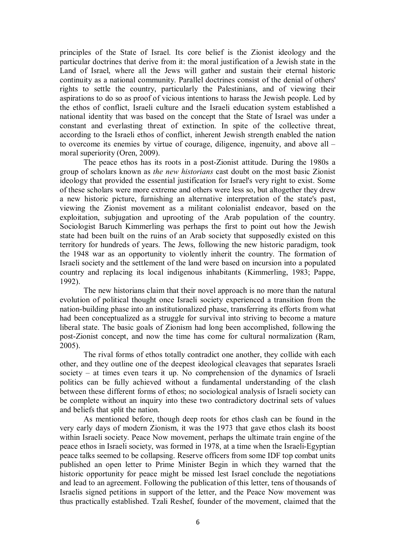principles of the State of Israel. Its core belief is the Zionist ideology and the particular doctrines that derive from it: the moral justification of a Jewish state in the Land of Israel, where all the Jews will gather and sustain their eternal historic continuity as a national community. Parallel doctrines consist of the denial of others' rights to settle the country, particularly the Palestinians, and of viewing their aspirations to do so as proof of vicious intentions to harass the Jewish people. Led by the ethos of conflict, Israeli culture and the Israeli education system established a national identity that was based on the concept that the State of Israel was under a constant and everlasting threat of extinction. In spite of the collective threat, according to the Israeli ethos of conflict, inherent Jewish strength enabled the nation to overcome its enemies by virtue of courage, diligence, ingenuity, and above all – moral superiority (Oren, 2009).

The peace ethos has its roots in a post-Zionist attitude. During the 1980s a group of scholars known as *the new historians* cast doubt on the most basic Zionist ideology that provided the essential justification for Israel's very right to exist. Some of these scholars were more extreme and others were less so, but altogether they drew a new historic picture, furnishing an alternative interpretation of the state's past, viewing the Zionist movement as a militant colonialist endeavor, based on the exploitation, subjugation and uprooting of the Arab population of the country. Sociologist Baruch Kimmerling was perhaps the first to point out how the Jewish state had been built on the ruins of an Arab society that supposedly existed on this territory for hundreds of years. The Jews, following the new historic paradigm, took the 1948 war as an opportunity to violently inherit the country. The formation of Israeli society and the settlement of the land were based on incursion into a populated country and replacing its local indigenous inhabitants (Kimmerling, 1983; Pappe, 1992).

The new historians claim that their novel approach is no more than the natural evolution of political thought once Israeli society experienced a transition from the nation-building phase into an institutionalized phase, transferring its efforts from what had been conceptualized as a struggle for survival into striving to become a mature liberal state. The basic goals of Zionism had long been accomplished, following the post-Zionist concept, and now the time has come for cultural normalization (Ram, 2005).

The rival forms of ethos totally contradict one another, they collide with each other, and they outline one of the deepest ideological cleavages that separates Israeli society – at times even tears it up. No comprehension of the dynamics of Israeli politics can be fully achieved without a fundamental understanding of the clash between these different forms of ethos; no sociological analysis of Israeli society can be complete without an inquiry into these two contradictory doctrinal sets of values and beliefs that split the nation.

As mentioned before, though deep roots for ethos clash can be found in the very early days of modern Zionism, it was the 1973 that gave ethos clash its boost within Israeli society. Peace Now movement, perhaps the ultimate train engine of the peace ethos in Israeli society, was formed in 1978, at a time when the Israeli-Egyptian peace talks seemed to be collapsing. Reserve officers from some IDF top combat units published an open letter to Prime Minister Begin in which they warned that the historic opportunity for peace might be missed lest Israel conclude the negotiations and lead to an agreement. Following the publication of this letter, tens of thousands of Israelis signed petitions in support of the letter, and the Peace Now movement was thus practically established. Tzali Reshef, founder of the movement, claimed that the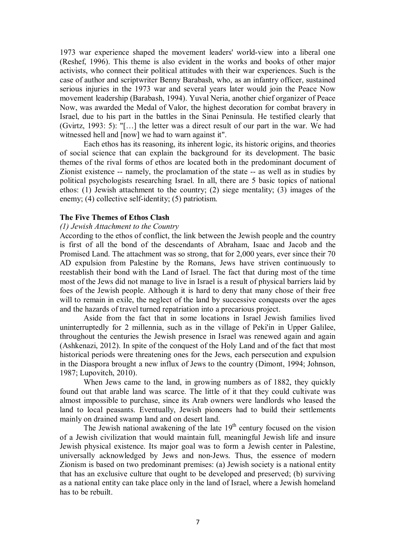1973 war experience shaped the movement leaders' world-view into a liberal one (Reshef, 1996). This theme is also evident in the works and books of other major activists, who connect their political attitudes with their war experiences. Such is the case of author and scriptwriter Benny Barabash, who, as an infantry officer, sustained serious injuries in the 1973 war and several years later would join the Peace Now movement leadership (Barabash, 1994). Yuval Neria, another chief organizer of Peace Now, was awarded the Medal of Valor, the highest decoration for combat bravery in Israel, due to his part in the battles in the Sinai Peninsula. He testified clearly that (Gvirtz, 1993: 5): "[…] the letter was a direct result of our part in the war. We had witnessed hell and  $[now]$  we had to warn against it".

Each ethos has its reasoning, its inherent logic, its historic origins, and theories of social science that can explain the background for its development. The basic themes of the rival forms of ethos are located both in the predominant document of Zionist existence -- namely, the proclamation of the state -- as well as in studies by political psychologists researching Israel. In all, there are 5 basic topics of national ethos: (1) Jewish attachment to the country; (2) siege mentality; (3) images of the enemy; (4) collective self-identity; (5) patriotism.

### **The Five Themes of Ethos Clash**

#### *(1) Jewish Attachment to the Country*

According to the ethos of conflict, the link between the Jewish people and the country is first of all the bond of the descendants of Abraham, Isaac and Jacob and the Promised Land. The attachment was so strong, that for 2,000 years, ever since their 70 AD expulsion from Palestine by the Romans, Jews have striven continuously to reestablish their bond with the Land of Israel. The fact that during most of the time most of the Jews did not manage to live in Israel is a result of physical barriers laid by foes of the Jewish people. Although it is hard to deny that many chose of their free will to remain in exile, the neglect of the land by successive conquests over the ages and the hazards of travel turned repatriation into a precarious project.

Aside from the fact that in some locations in Israel Jewish families lived uninterruptedly for 2 millennia, such as in the village of Peki'in in Upper Galilee, throughout the centuries the Jewish presence in Israel was renewed again and again (Ashkenazi, 2012). In spite of the conquest of the Holy Land and of the fact that most historical periods were threatening ones for the Jews, each persecution and expulsion in the Diaspora brought a new influx of Jews to the country (Dimont, 1994; Johnson, 1987; Lupovitch, 2010).

When Jews came to the land, in growing numbers as of 1882, they quickly found out that arable land was scarce. The little of it that they could cultivate was almost impossible to purchase, since its Arab owners were landlords who leased the land to local peasants. Eventually, Jewish pioneers had to build their settlements mainly on drained swamp land and on desert land.

The Jewish national awakening of the late  $19<sup>th</sup>$  century focused on the vision of a Jewish civilization that would maintain full, meaningful Jewish life and insure Jewish physical existence. Its major goal was to form a Jewish center in Palestine, universally acknowledged by Jews and non-Jews. Thus, the essence of modern Zionism is based on two predominant premises: (a) Jewish society is a national entity that has an exclusive culture that ought to be developed and preserved; (b) surviving as a national entity can take place only in the land of Israel, where a Jewish homeland has to be rebuilt.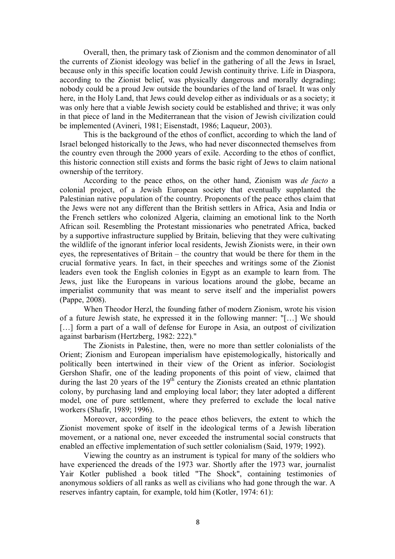Overall, then, the primary task of Zionism and the common denominator of all the currents of Zionist ideology was belief in the gathering of all the Jews in Israel, because only in this specific location could Jewish continuity thrive. Life in Diaspora, according to the Zionist belief, was physically dangerous and morally degrading; nobody could be a proud Jew outside the boundaries of the land of Israel. It was only here, in the Holy Land, that Jews could develop either as individuals or as a society; it was only here that a viable Jewish society could be established and thrive; it was only in that piece of land in the Mediterranean that the vision of Jewish civilization could be implemented (Avineri, 1981; Eisenstadt, 1986; Laqueur, 2003).

This is the background of the ethos of conflict, according to which the land of Israel belonged historically to the Jews, who had never disconnected themselves from the country even through the 2000 years of exile. According to the ethos of conflict, this historic connection still exists and forms the basic right of Jews to claim national ownership of the territory.

According to the peace ethos, on the other hand, Zionism was *de facto* a colonial project, of a Jewish European society that eventually supplanted the Palestinian native population of the country. Proponents of the peace ethos claim that the Jews were not any different than the British settlers in Africa, Asia and India or the French settlers who colonized Algeria, claiming an emotional link to the North African soil. Resembling the Protestant missionaries who penetrated Africa, backed by a supportive infrastructure supplied by Britain, believing that they were cultivating the wildlife of the ignorant inferior local residents, Jewish Zionists were, in their own eyes, the representatives of Britain – the country that would be there for them in the crucial formative years. In fact, in their speeches and writings some of the Zionist leaders even took the English colonies in Egypt as an example to learn from. The Jews, just like the Europeans in various locations around the globe, became an imperialist community that was meant to serve itself and the imperialist powers (Pappe, 2008).

When Theodor Herzl, the founding father of modern Zionism, wrote his vision of a future Jewish state, he expressed it in the following manner: "[…] We should [...] form a part of a wall of defense for Europe in Asia, an outpost of civilization against barbarism (Hertzberg, 1982: 222)."

The Zionists in Palestine, then, were no more than settler colonialists of the Orient; Zionism and European imperialism have epistemologically, historically and politically been intertwined in their view of the Orient as inferior. Sociologist Gershon Shafir, one of the leading proponents of this point of view, claimed that during the last 20 years of the  $19<sup>th</sup>$  century the Zionists created an ethnic plantation colony, by purchasing land and employing local labor; they later adopted a different model, one of pure settlement, where they preferred to exclude the local native workers (Shafir, 1989; 1996).

Moreover, according to the peace ethos believers, the extent to which the Zionist movement spoke of itself in the ideological terms of a Jewish liberation movement, or a national one, never exceeded the instrumental social constructs that enabled an effective implementation of such settler colonialism (Said, 1979; 1992).

Viewing the country as an instrument is typical for many of the soldiers who have experienced the dreads of the 1973 war. Shortly after the 1973 war, journalist Yair Kotler published a book titled "The Shock", containing testimonies of anonymous soldiers of all ranks as well as civilians who had gone through the war. A reserves infantry captain, for example, told him (Kotler, 1974: 61):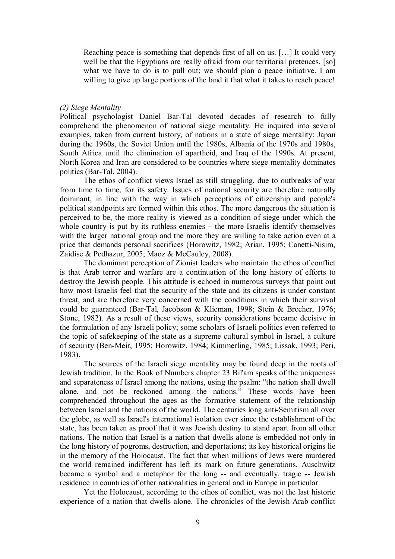Reaching peace is something that depends first of all on us. […] It could very well be that the Egyptians are really afraid from our territorial pretences, [so] what we have to do is to pull out; we should plan a peace initiative. I am willing to give up large portions of the land it that what it takes to reach peace!

#### *(2) Siege Mentality*

Political psychologist Daniel Bar-Tal devoted decades of research to fully comprehend the phenomenon of national siege mentality. He inquired into several examples, taken from current history, of nations in a state of siege mentality: Japan during the 1960s, the Soviet Union until the 1980s, Albania of the 1970s and 1980s, South Africa until the elimination of apartheid, and Iraq of the 1990s. At present, North Korea and Iran are considered to be countries where siege mentality dominates politics (Bar-Tal, 2004).

The ethos of conflict views Israel as still struggling, due to outbreaks of war from time to time, for its safety. Issues of national security are therefore naturally dominant, in line with the way in which perceptions of citizenship and people's political standpoints are formed within this ethos. The more dangerous the situation is perceived to be, the more reality is viewed as a condition of siege under which the whole country is put by its ruthless enemies – the more Israelis identify themselves with the larger national group and the more they are willing to take action even at a price that demands personal sacrifices (Horowitz, 1982; Arian, 1995; Canetti-Nisim, Zaidise & Pedhazur, 2005; Maoz & McCauley, 2008).

The dominant perception of Zionist leaders who maintain the ethos of conflict is that Arab terror and warfare are a continuation of the long history of efforts to destroy the Jewish people. This attitude is echoed in numerous surveys that point out how most Israelis feel that the security of the state and its citizens is under constant threat, and are therefore very concerned with the conditions in which their survival could be guaranteed (Bar-Tal, Jacobson & Klieman, 1998; Stein & Brecher, 1976; Stone, 1982). As a result of these views, security considerations became decisive in the formulation of any Israeli policy; some scholars of Israeli politics even referred to the topic of safekeeping of the state as a supreme cultural symbol in Israel, a culture of security (Ben-Meir, 1995; Horowitz, 1984; Kimmerling, 1985; Lissak, 1993; Peri, 1983).

The sources of the Israeli siege mentality may be found deep in the roots of Jewish tradition. In the Book of Numbers chapter 23 Bil'am speaks of the uniqueness and separateness of Israel among the nations, using the psalm: "the nation shall dwell alone, and not be reckoned among the nations." These words have been comprehended throughout the ages as the formative statement of the relationship between Israel and the nations of the world. The centuries long anti-Semitism all over the globe, as well as Israel's international isolation ever since the establishment of the state, has been taken as proof that it was Jewish destiny to stand apart from all other nations. The notion that Israel is a nation that dwells alone is embedded not only in the long history of pogroms, destruction, and deportations; its key historical origins lie in the memory of the Holocaust. The fact that when millions of Jews were murdered the world remained indifferent has left its mark on future generations. Auschwitz became a symbol and a metaphor for the long -- and eventually, tragic -- Jewish residence in countries of other nationalities in general and in Europe in particular.

Yet the Holocaust, according to the ethos of conflict, was not the last historic experience of a nation that dwells alone. The chronicles of the Jewish-Arab conflict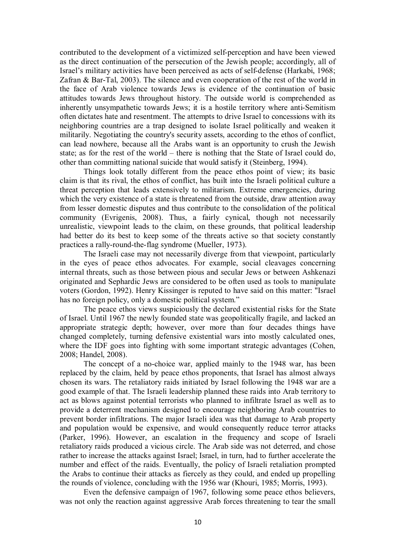contributed to the development of a victimized self-perception and have been viewed as the direct continuation of the persecution of the Jewish people; accordingly, all of Israel's military activities have been perceived as acts of self-defense (Harkabi, 1968; Zafran & Bar-Tal, 2003). The silence and even cooperation of the rest of the world in the face of Arab violence towards Jews is evidence of the continuation of basic attitudes towards Jews throughout history. The outside world is comprehended as inherently unsympathetic towards Jews; it is a hostile territory where anti-Semitism often dictates hate and resentment. The attempts to drive Israel to concessions with its neighboring countries are a trap designed to isolate Israel politically and weaken it militarily. Negotiating the country's security assets, according to the ethos of conflict, can lead nowhere, because all the Arabs want is an opportunity to crush the Jewish state; as for the rest of the world – there is nothing that the State of Israel could do, other than committing national suicide that would satisfy it (Steinberg, 1994).

Things look totally different from the peace ethos point of view; its basic claim is that its rival, the ethos of conflict, has built into the Israeli political culture a threat perception that leads extensively to militarism. Extreme emergencies, during which the very existence of a state is threatened from the outside, draw attention away from lesser domestic disputes and thus contribute to the consolidation of the political community (Evrigenis, 2008). Thus, a fairly cynical, though not necessarily unrealistic, viewpoint leads to the claim, on these grounds, that political leadership had better do its best to keep some of the threats active so that society constantly practices a rally-round-the-flag syndrome (Mueller, 1973).

The Israeli case may not necessarily diverge from that viewpoint, particularly in the eyes of peace ethos advocates. For example, social cleavages concerning internal threats, such as those between pious and secular Jews or between Ashkenazi originated and Sephardic Jews are considered to be often used as tools to manipulate voters (Gordon, 1992). Henry Kissinger is reputed to have said on this matter: "Israel has no foreign policy, only a domestic political system."

The peace ethos views suspiciously the declared existential risks for the State of Israel. Until 1967 the newly founded state was geopolitically fragile, and lacked an appropriate strategic depth; however, over more than four decades things have changed completely, turning defensive existential wars into mostly calculated ones, where the IDF goes into fighting with some important strategic advantages (Cohen, 2008; Handel, 2008).

The concept of a no-choice war, applied mainly to the 1948 war, has been replaced by the claim, held by peace ethos proponents, that Israel has almost always chosen its wars. The retaliatory raids initiated by Israel following the 1948 war are a good example of that. The Israeli leadership planned these raids into Arab territory to act as blows against potential terrorists who planned to infiltrate Israel as well as to provide a deterrent mechanism designed to encourage neighboring Arab countries to prevent border infiltrations. The major Israeli idea was that damage to Arab property and population would be expensive, and would consequently reduce terror attacks (Parker, 1996). However, an escalation in the frequency and scope of Israeli retaliatory raids produced a vicious circle. The Arab side was not deterred, and chose rather to increase the attacks against Israel; Israel, in turn, had to further accelerate the number and effect of the raids. Eventually, the policy of Israeli retaliation prompted the Arabs to continue their attacks as fiercely as they could, and ended up propelling the rounds of violence, concluding with the 1956 war (Khouri, 1985; Morris, 1993).

Even the defensive campaign of 1967, following some peace ethos believers, was not only the reaction against aggressive Arab forces threatening to tear the small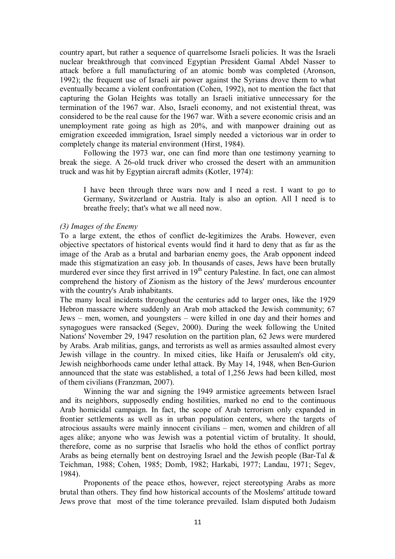country apart, but rather a sequence of quarrelsome Israeli policies. It was the Israeli nuclear breakthrough that convinced Egyptian President Gamal Abdel Nasser to attack before a full manufacturing of an atomic bomb was completed (Aronson, 1992); the frequent use of Israeli air power against the Syrians drove them to what eventually became a violent confrontation (Cohen, 1992), not to mention the fact that capturing the Golan Heights was totally an Israeli initiative unnecessary for the termination of the 1967 war. Also, Israeli economy, and not existential threat, was considered to be the real cause for the 1967 war. With a severe economic crisis and an unemployment rate going as high as 20%, and with manpower draining out as emigration exceeded immigration, Israel simply needed a victorious war in order to completely change its material environment (Hirst, 1984).

Following the 1973 war, one can find more than one testimony yearning to break the siege. A 26-old truck driver who crossed the desert with an ammunition truck and was hit by Egyptian aircraft admits (Kotler, 1974):

I have been through three wars now and I need a rest. I want to go to Germany, Switzerland or Austria. Italy is also an option. All I need is to breathe freely; that's what we all need now.

# *(3) Images of the Enemy*

To a large extent, the ethos of conflict de-legitimizes the Arabs. However, even objective spectators of historical events would find it hard to deny that as far as the image of the Arab as a brutal and barbarian enemy goes, the Arab opponent indeed made this stigmatization an easy job. In thousands of cases, Jews have been brutally murdered ever since they first arrived in 19<sup>th</sup> century Palestine. In fact, one can almost comprehend the history of Zionism as the history of the Jews' murderous encounter with the country's Arab inhabitants.

The many local incidents throughout the centuries add to larger ones, like the 1929 Hebron massacre where suddenly an Arab mob attacked the Jewish community; 67 Jews – men, women, and youngsters – were killed in one day and their homes and synagogues were ransacked (Segev, 2000). During the week following the United Nations' November 29, 1947 resolution on the partition plan, 62 Jews were murdered by Arabs. Arab militias, gangs, and terrorists as well as armies assaulted almost every Jewish village in the country. In mixed cities, like Haifa or Jerusalem's old city, Jewish neighborhoods came under lethal attack. By May 14, 1948, when Ben-Gurion announced that the state was established, a total of 1,256 Jews had been killed, most of them civilians (Franzman, 2007).

Winning the war and signing the 1949 armistice agreements between Israel and its neighbors, supposedly ending hostilities, marked no end to the continuous Arab homicidal campaign. In fact, the scope of Arab terrorism only expanded in frontier settlements as well as in urban population centers, where the targets of atrocious assaults were mainly innocent civilians – men, women and children of all ages alike; anyone who was Jewish was a potential victim of brutality. It should, therefore, come as no surprise that Israelis who hold the ethos of conflict portray Arabs as being eternally bent on destroying Israel and the Jewish people (Bar-Tal & Teichman, 1988; Cohen, 1985; Domb, 1982; Harkabi, 1977; Landau, 1971; Segev, 1984).

Proponents of the peace ethos, however, reject stereotyping Arabs as more brutal than others. They find how historical accounts of the Moslems' attitude toward Jews prove that most of the time tolerance prevailed. Islam disputed both Judaism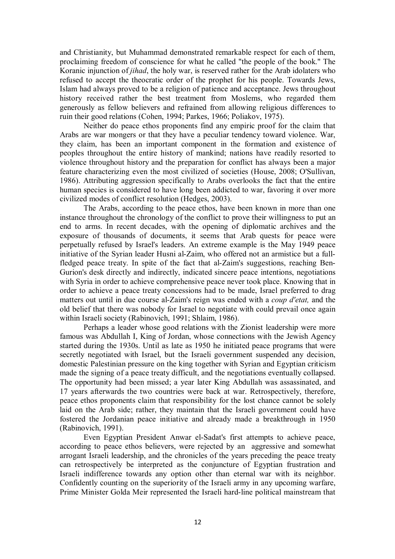and Christianity, but Muhammad demonstrated remarkable respect for each of them, proclaiming freedom of conscience for what he called "the people of the book." The Koranic injunction of *jihad*, the holy war, is reserved rather for the Arab idolaters who refused to accept the theocratic order of the prophet for his people. Towards Jews, Islam had always proved to be a religion of patience and acceptance. Jews throughout history received rather the best treatment from Moslems, who regarded them generously as fellow believers and refrained from allowing religious differences to ruin their good relations (Cohen, 1994; Parkes, 1966; Poliakov, 1975).

Neither do peace ethos proponents find any empiric proof for the claim that Arabs are war mongers or that they have a peculiar tendency toward violence. War, they claim, has been an important component in the formation and existence of peoples throughout the entire history of mankind; nations have readily resorted to violence throughout history and the preparation for conflict has always been a major feature characterizing even the most civilized of societies (House, 2008; O'Sullivan, 1986). Attributing aggression specifically to Arabs overlooks the fact that the entire human species is considered to have long been addicted to war, favoring it over more civilized modes of conflict resolution (Hedges, 2003).

The Arabs, according to the peace ethos, have been known in more than one instance throughout the chronology of the conflict to prove their willingness to put an end to arms. In recent decades, with the opening of diplomatic archives and the exposure of thousands of documents, it seems that Arab quests for peace were perpetually refused by Israel's leaders. An extreme example is the May 1949 peace initiative of the Syrian leader Husni al-Zaim, who offered not an armistice but a fullfledged peace treaty. In spite of the fact that al-Zaim's suggestions, reaching Ben-Gurion's desk directly and indirectly, indicated sincere peace intentions, negotiations with Syria in order to achieve comprehensive peace never took place. Knowing that in order to achieve a peace treaty concessions had to be made, Israel preferred to drag matters out until in due course al-Zaim's reign was ended with a *coup d'etat,* and the old belief that there was nobody for Israel to negotiate with could prevail once again within Israeli society (Rabinovich, 1991; Shlaim, 1986).

Perhaps a leader whose good relations with the Zionist leadership were more famous was Abdullah I, King of Jordan, whose connections with the Jewish Agency started during the 1930s. Until as late as 1950 he initiated peace programs that were secretly negotiated with Israel, but the Israeli government suspended any decision, domestic Palestinian pressure on the king together with Syrian and Egyptian criticism made the signing of a peace treaty difficult, and the negotiations eventually collapsed. The opportunity had been missed; a year later King Abdullah was assassinated, and 17 years afterwards the two countries were back at war. Retrospectively, therefore, peace ethos proponents claim that responsibility for the lost chance cannot be solely laid on the Arab side; rather, they maintain that the Israeli government could have fostered the Jordanian peace initiative and already made a breakthrough in 1950 (Rabinovich, 1991).

Even Egyptian President Anwar el-Sadat's first attempts to achieve peace, according to peace ethos believers, were rejected by an aggressive and somewhat arrogant Israeli leadership, and the chronicles of the years preceding the peace treaty can retrospectively be interpreted as the conjuncture of Egyptian frustration and Israeli indifference towards any option other than eternal war with its neighbor. Confidently counting on the superiority of the Israeli army in any upcoming warfare, Prime Minister Golda Meir represented the Israeli hard-line political mainstream that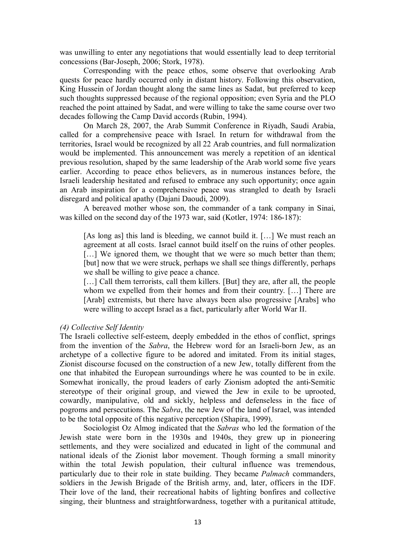was unwilling to enter any negotiations that would essentially lead to deep territorial concessions (Bar-Joseph, 2006; Stork, 1978).

Corresponding with the peace ethos, some observe that overlooking Arab quests for peace hardly occurred only in distant history. Following this observation, King Hussein of Jordan thought along the same lines as Sadat, but preferred to keep such thoughts suppressed because of the regional opposition; even Syria and the PLO reached the point attained by Sadat, and were willing to take the same course over two decades following the Camp David accords (Rubin, 1994).

On March 28, 2007, the Arab Summit Conference in Riyadh, Saudi Arabia, called for a comprehensive peace with Israel. In return for withdrawal from the territories, Israel would be recognized by all 22 Arab countries, and full normalization would be implemented. This announcement was merely a repetition of an identical previous resolution, shaped by the same leadership of the Arab world some five years earlier. According to peace ethos believers, as in numerous instances before, the Israeli leadership hesitated and refused to embrace any such opportunity; once again an Arab inspiration for a comprehensive peace was strangled to death by Israeli disregard and political apathy (Dajani Daoudi, 2009).

A bereaved mother whose son, the commander of a tank company in Sinai, was killed on the second day of the 1973 war, said (Kotler, 1974: 186-187):

[As long as] this land is bleeding, we cannot build it. [...] We must reach an agreement at all costs. Israel cannot build itself on the ruins of other peoples. [...] We ignored them, we thought that we were so much better than them; [but] now that we were struck, perhaps we shall see things differently, perhaps we shall be willing to give peace a chance.

[...] Call them terrorists, call them killers. [But] they are, after all, the people whom we expelled from their homes and from their country. [...] There are [Arab] extremists, but there have always been also progressive [Arabs] who were willing to accept Israel as a fact, particularly after World War II.

## *(4) Collective Self Identity*

The Israeli collective self-esteem, deeply embedded in the ethos of conflict, springs from the invention of the *Sabra*, the Hebrew word for an Israeli-born Jew, as an archetype of a collective figure to be adored and imitated. From its initial stages, Zionist discourse focused on the construction of a new Jew, totally different from the one that inhabited the European surroundings where he was counted to be in exile. Somewhat ironically, the proud leaders of early Zionism adopted the anti-Semitic stereotype of their original group, and viewed the Jew in exile to be uprooted, cowardly, manipulative, old and sickly, helpless and defenseless in the face of pogroms and persecutions. The *Sabra*, the new Jew of the land of Israel, was intended to be the total opposite of this negative perception (Shapira, 1999).

Sociologist Oz Almog indicated that the *Sabras* who led the formation of the Jewish state were born in the 1930s and 1940s, they grew up in pioneering settlements, and they were socialized and educated in light of the communal and national ideals of the Zionist labor movement. Though forming a small minority within the total Jewish population, their cultural influence was tremendous, particularly due to their role in state building. They became *Palmach* commanders, soldiers in the Jewish Brigade of the British army, and, later, officers in the IDF. Their love of the land, their recreational habits of lighting bonfires and collective singing, their bluntness and straightforwardness, together with a puritanical attitude,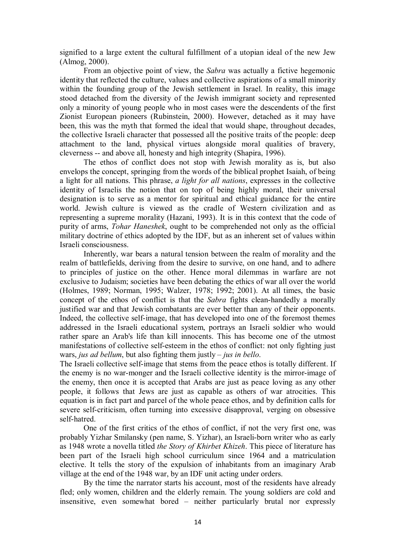signified to a large extent the cultural fulfillment of a utopian ideal of the new Jew (Almog, 2000).

From an objective point of view, the *Sabra* was actually a fictive hegemonic identity that reflected the culture, values and collective aspirations of a small minority within the founding group of the Jewish settlement in Israel. In reality, this image stood detached from the diversity of the Jewish immigrant society and represented only a minority of young people who in most cases were the descendents of the first Zionist European pioneers (Rubinstein, 2000). However, detached as it may have been, this was the myth that formed the ideal that would shape, throughout decades, the collective Israeli character that possessed all the positive traits of the people: deep attachment to the land, physical virtues alongside moral qualities of bravery, cleverness -- and above all, honesty and high integrity (Shapira, 1996).

The ethos of conflict does not stop with Jewish morality as is, but also envelops the concept, springing from the words of the biblical prophet Isaiah, of being a light for all nations. This phrase, *a light for all nations*, expresses in the collective identity of Israelis the notion that on top of being highly moral, their universal designation is to serve as a mentor for spiritual and ethical guidance for the entire world. Jewish culture is viewed as the cradle of Western civilization and as representing a supreme morality (Hazani, 1993). It is in this context that the code of purity of arms, *Tohar Haneshek*, ought to be comprehended not only as the official military doctrine of ethics adopted by the IDF, but as an inherent set of values within Israeli consciousness.

Inherently, war bears a natural tension between the realm of morality and the realm of battlefields, deriving from the desire to survive, on one hand, and to adhere to principles of justice on the other. Hence moral dilemmas in warfare are not exclusive to Judaism; societies have been debating the ethics of war all over the world (Holmes, 1989; Norman, 1995; Walzer, 1978; 1992; 2001). At all times, the basic concept of the ethos of conflict is that the *Sabra* fights clean-handedly a morally justified war and that Jewish combatants are ever better than any of their opponents. Indeed, the collective self-image, that has developed into one of the foremost themes addressed in the Israeli educational system, portrays an Israeli soldier who would rather spare an Arab's life than kill innocents. This has become one of the utmost manifestations of collective self-esteem in the ethos of conflict: not only fighting just wars, *jus ad bellum*, but also fighting them justly – *jus in bello*.

The Israeli collective self-image that stems from the peace ethos is totally different. If the enemy is no war-monger and the Israeli collective identity is the mirror-image of the enemy, then once it is accepted that Arabs are just as peace loving as any other people, it follows that Jews are just as capable as others of war atrocities. This equation is in fact part and parcel of the whole peace ethos, and by definition calls for severe self-criticism, often turning into excessive disapproval, verging on obsessive self-hatred.

One of the first critics of the ethos of conflict, if not the very first one, was probably Yizhar Smilansky (pen name, S. Yizhar), an Israeli-born writer who as early as 1948 wrote a novella titled *the Story of Khirbet Khizeh*. This piece of literature has been part of the Israeli high school curriculum since 1964 and a matriculation elective. It tells the story of the expulsion of inhabitants from an imaginary Arab village at the end of the 1948 war, by an IDF unit acting under orders.

By the time the narrator starts his account, most of the residents have already fled; only women, children and the elderly remain. The young soldiers are cold and insensitive, even somewhat bored – neither particularly brutal nor expressly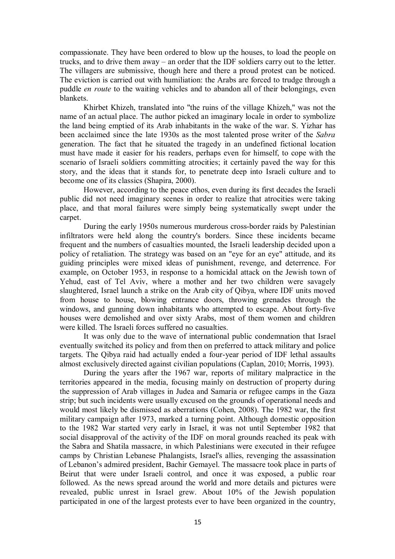compassionate. They have been ordered to blow up the houses, to load the people on trucks, and to drive them away – an order that the IDF soldiers carry out to the letter. The villagers are submissive, though here and there a proud protest can be noticed. The eviction is carried out with humiliation: the Arabs are forced to trudge through a puddle *en route* to the waiting vehicles and to abandon all of their belongings, even blankets.

Khirbet Khizeh, translated into "the ruins of the village Khizeh," was not the name of an actual place. The author picked an imaginary locale in order to symbolize the land being emptied of its Arab inhabitants in the wake of the war. S. Yizhar has been acclaimed since the late 1930s as the most talented prose writer of the *Sabra* generation. The fact that he situated the tragedy in an undefined fictional location must have made it easier for his readers, perhaps even for himself, to cope with the scenario of Israeli soldiers committing atrocities; it certainly paved the way for this story, and the ideas that it stands for, to penetrate deep into Israeli culture and to become one of its classics (Shapira, 2000).

However, according to the peace ethos, even during its first decades the Israeli public did not need imaginary scenes in order to realize that atrocities were taking place, and that moral failures were simply being systematically swept under the carpet.

During the early 1950s numerous murderous cross-border raids by Palestinian infiltrators were held along the country's borders. Since these incidents became frequent and the numbers of casualties mounted, the Israeli leadership decided upon a policy of retaliation. The strategy was based on an "eye for an eye" attitude, and its guiding principles were mixed ideas of punishment, revenge, and deterrence. For example, on October 1953, in response to a homicidal attack on the Jewish town of Yehud, east of Tel Aviv, where a mother and her two children were savagely slaughtered, Israel launch a strike on the Arab city of Qibya, where IDF units moved from house to house, blowing entrance doors, throwing grenades through the windows, and gunning down inhabitants who attempted to escape. About forty-five houses were demolished and over sixty Arabs, most of them women and children were killed. The Israeli forces suffered no casualties.

It was only due to the wave of international public condemnation that Israel eventually switched its policy and from then on preferred to attack military and police targets. The Qibya raid had actually ended a four-year period of IDF lethal assaults almost exclusively directed against civilian populations (Caplan, 2010; Morris, 1993).

During the years after the 1967 war, reports of military malpractice in the territories appeared in the media, focusing mainly on destruction of property during the suppression of Arab villages in Judea and Samaria or refugee camps in the Gaza strip; but such incidents were usually excused on the grounds of operational needs and would most likely be dismissed as aberrations (Cohen, 2008). The 1982 war, the first military campaign after 1973, marked a turning point. Although domestic opposition to the 1982 War started very early in Israel, it was not until September 1982 that social disapproval of the activity of the IDF on moral grounds reached its peak with the Sabra and Shatila massacre, in which Palestinians were executed in their refugee camps by Christian Lebanese Phalangists, Israel's allies, revenging the assassination of Lebanon's admired president, Bachir Gemayel. The massacre took place in parts of Beirut that were under Israeli control, and once it was exposed, a public roar followed. As the news spread around the world and more details and pictures were revealed, public unrest in Israel grew. About 10% of the Jewish population participated in one of the largest protests ever to have been organized in the country,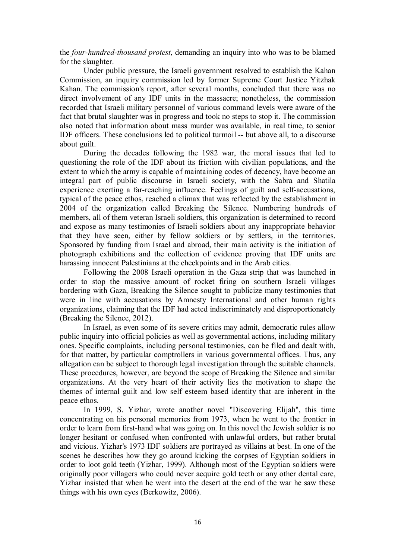the *four-hundred-thousand protest*, demanding an inquiry into who was to be blamed for the slaughter.

Under public pressure, the Israeli government resolved to establish the Kahan Commission, an inquiry commission led by former Supreme Court Justice Yitzhak Kahan. The commission's report, after several months, concluded that there was no direct involvement of any IDF units in the massacre; nonetheless, the commission recorded that Israeli military personnel of various command levels were aware of the fact that brutal slaughter was in progress and took no steps to stop it. The commission also noted that information about mass murder was available, in real time, to senior IDF officers. These conclusions led to political turmoil -- but above all, to a discourse about guilt.

During the decades following the 1982 war, the moral issues that led to questioning the role of the IDF about its friction with civilian populations, and the extent to which the army is capable of maintaining codes of decency, have become an integral part of public discourse in Israeli society, with the Sabra and Shatila experience exerting a far-reaching influence. Feelings of guilt and self-accusations, typical of the peace ethos, reached a climax that was reflected by the establishment in 2004 of the organization called Breaking the Silence. Numbering hundreds of members, all of them veteran Israeli soldiers, this organization is determined to record and expose as many testimonies of Israeli soldiers about any inappropriate behavior that they have seen, either by fellow soldiers or by settlers, in the territories. Sponsored by funding from Israel and abroad, their main activity is the initiation of photograph exhibitions and the collection of evidence proving that IDF units are harassing innocent Palestinians at the checkpoints and in the Arab cities.

Following the 2008 Israeli operation in the Gaza strip that was launched in order to stop the massive amount of rocket firing on southern Israeli villages bordering with Gaza, Breaking the Silence sought to publicize many testimonies that were in line with accusations by Amnesty International and other human rights organizations, claiming that the IDF had acted indiscriminately and disproportionately (Breaking the Silence, 2012).

In Israel, as even some of its severe critics may admit, democratic rules allow public inquiry into official policies as well as governmental actions, including military ones. Specific complaints, including personal testimonies, can be filed and dealt with, for that matter, by particular comptrollers in various governmental offices. Thus, any allegation can be subject to thorough legal investigation through the suitable channels. These procedures, however, are beyond the scope of Breaking the Silence and similar organizations. At the very heart of their activity lies the motivation to shape the themes of internal guilt and low self esteem based identity that are inherent in the peace ethos.

In 1999, S. Yizhar, wrote another novel "Discovering Elijah", this time concentrating on his personal memories from 1973, when he went to the frontier in order to learn from first-hand what was going on. In this novel the Jewish soldier is no longer hesitant or confused when confronted with unlawful orders, but rather brutal and vicious. Yizhar's 1973 IDF soldiers are portrayed as villains at best. In one of the scenes he describes how they go around kicking the corpses of Egyptian soldiers in order to loot gold teeth (Yizhar, 1999). Although most of the Egyptian soldiers were originally poor villagers who could never acquire gold teeth or any other dental care, Yizhar insisted that when he went into the desert at the end of the war he saw these things with his own eyes (Berkowitz, 2006).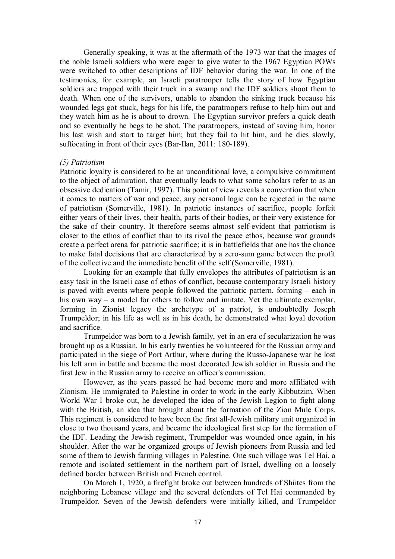Generally speaking, it was at the aftermath of the 1973 war that the images of the noble Israeli soldiers who were eager to give water to the 1967 Egyptian POWs were switched to other descriptions of IDF behavior during the war. In one of the testimonies, for example, an Israeli paratrooper tells the story of how Egyptian soldiers are trapped with their truck in a swamp and the IDF soldiers shoot them to death. When one of the survivors, unable to abandon the sinking truck because his wounded legs got stuck, begs for his life, the paratroopers refuse to help him out and they watch him as he is about to drown. The Egyptian survivor prefers a quick death and so eventually he begs to be shot. The paratroopers, instead of saving him, honor his last wish and start to target him; but they fail to hit him, and he dies slowly, suffocating in front of their eyes (Bar-Ilan, 2011: 180-189).

#### *(5) Patriotism*

Patriotic loyalty is considered to be an unconditional love, a compulsive commitment to the object of admiration, that eventually leads to what some scholars refer to as an obsessive dedication (Tamir, 1997). This point of view reveals a convention that when it comes to matters of war and peace, any personal logic can be rejected in the name of patriotism (Somerville, 1981). In patriotic instances of sacrifice, people forfeit either years of their lives, their health, parts of their bodies, or their very existence for the sake of their country. It therefore seems almost self-evident that patriotism is closer to the ethos of conflict than to its rival the peace ethos, because war grounds create a perfect arena for patriotic sacrifice; it is in battlefields that one has the chance to make fatal decisions that are characterized by a zero-sum game between the profit of the collective and the immediate benefit of the self (Somerville, 1981).

Looking for an example that fully envelopes the attributes of patriotism is an easy task in the Israeli case of ethos of conflict, because contemporary Israeli history is paved with events where people followed the patriotic pattern, forming – each in his own way – a model for others to follow and imitate. Yet the ultimate exemplar, forming in Zionist legacy the archetype of a patriot, is undoubtedly Joseph Trumpeldor; in his life as well as in his death, he demonstrated what loyal devotion and sacrifice.

Trumpeldor was born to a Jewish family, yet in an era of secularization he was brought up as a Russian. In his early twenties he volunteered for the Russian army and participated in the siege of Port Arthur, where during the Russo-Japanese war he lost his left arm in battle and became the most decorated Jewish soldier in Russia and the first Jew in the Russian army to receive an officer's commission.

However, as the years passed he had become more and more affiliated with Zionism. He immigrated to Palestine in order to work in the early Kibbutzim. When World War I broke out, he developed the idea of the Jewish Legion to fight along with the British, an idea that brought about the formation of the Zion Mule Corps. This regiment is considered to have been the first all-Jewish military unit organized in close to two thousand years, and became the ideological first step for the formation of the IDF. Leading the Jewish regiment, Trumpeldor was wounded once again, in his shoulder. After the war he organized groups of Jewish pioneers from Russia and led some of them to Jewish farming villages in Palestine. One such village was Tel Hai, a remote and isolated settlement in the northern part of Israel, dwelling on a loosely defined border between British and French control.

On March 1, 1920, a firefight broke out between hundreds of Shiites from the neighboring Lebanese village and the several defenders of Tel Hai commanded by Trumpeldor. Seven of the Jewish defenders were initially killed, and Trumpeldor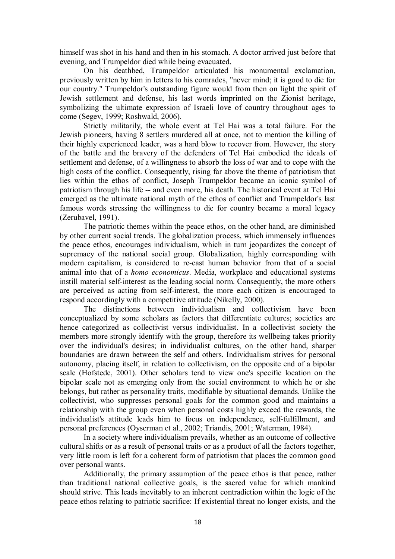himself was shot in his hand and then in his stomach. A doctor arrived just before that evening, and Trumpeldor died while being evacuated.

On his deathbed, Trumpeldor articulated his monumental exclamation, previously written by him in letters to his comrades, "never mind; it is good to die for our country." Trumpeldor's outstanding figure would from then on light the spirit of Jewish settlement and defense, his last words imprinted on the Zionist heritage, symbolizing the ultimate expression of Israeli love of country throughout ages to come (Segev, 1999; Roshwald, 2006).

Strictly militarily, the whole event at Tel Hai was a total failure. For the Jewish pioneers, having 8 settlers murdered all at once, not to mention the killing of their highly experienced leader, was a hard blow to recover from. However, the story of the battle and the bravery of the defenders of Tel Hai embodied the ideals of settlement and defense, of a willingness to absorb the loss of war and to cope with the high costs of the conflict. Consequently, rising far above the theme of patriotism that lies within the ethos of conflict, Joseph Trumpeldor became an iconic symbol of patriotism through his life -- and even more, his death. The historical event at Tel Hai emerged as the ultimate national myth of the ethos of conflict and Trumpeldor's last famous words stressing the willingness to die for country became a moral legacy (Zerubavel, 1991).

The patriotic themes within the peace ethos, on the other hand, are diminished by other current social trends. The globalization process, which immensely influences the peace ethos, encourages individualism, which in turn jeopardizes the concept of supremacy of the national social group. Globalization, highly corresponding with modern capitalism, is considered to re-cast human behavior from that of a social animal into that of a *homo economicus*. Media, workplace and educational systems instill material self-interest as the leading social norm. Consequently, the more others are perceived as acting from self-interest, the more each citizen is encouraged to respond accordingly with a competitive attitude (Nikelly, 2000).

The distinctions between individualism and collectivism have been conceptualized by some scholars as factors that differentiate cultures; societies are hence categorized as collectivist versus individualist. In a collectivist society the members more strongly identify with the group, therefore its wellbeing takes priority over the individual's desires; in individualist cultures, on the other hand, sharper boundaries are drawn between the self and others. Individualism strives for personal autonomy, placing itself, in relation to collectivism, on the opposite end of a bipolar scale (Hofstede, 2001). Other scholars tend to view one's specific location on the bipolar scale not as emerging only from the social environment to which he or she belongs, but rather as personality traits, modifiable by situational demands. Unlike the collectivist, who suppresses personal goals for the common good and maintains a relationship with the group even when personal costs highly exceed the rewards, the individualist's attitude leads him to focus on independence, self-fulfillment, and personal preferences (Oyserman et al., 2002; Triandis, 2001; Waterman, 1984).

In a society where individualism prevails, whether as an outcome of collective cultural shifts or as a result of personal traits or as a product of all the factors together, very little room is left for a coherent form of patriotism that places the common good over personal wants.

Additionally, the primary assumption of the peace ethos is that peace, rather than traditional national collective goals, is the sacred value for which mankind should strive. This leads inevitably to an inherent contradiction within the logic of the peace ethos relating to patriotic sacrifice: If existential threat no longer exists, and the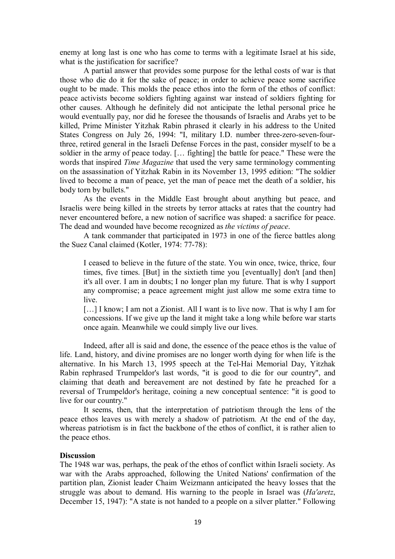enemy at long last is one who has come to terms with a legitimate Israel at his side, what is the justification for sacrifice?

A partial answer that provides some purpose for the lethal costs of war is that those who die do it for the sake of peace; in order to achieve peace some sacrifice ought to be made. This molds the peace ethos into the form of the ethos of conflict: peace activists become soldiers fighting against war instead of soldiers fighting for other causes. Although he definitely did not anticipate the lethal personal price he would eventually pay, nor did he foresee the thousands of Israelis and Arabs yet to be killed, Prime Minister Yitzhak Rabin phrased it clearly in his address to the United States Congress on July 26, 1994: "I, military I.D. number three-zero-seven-fourthree, retired general in the Israeli Defense Forces in the past, consider myself to be a soldier in the army of peace today. [… fighting] the battle for peace." These were the words that inspired *Time Magazine* that used the very same terminology commenting on the assassination of Yitzhak Rabin in its November 13, 1995 edition: "The soldier lived to become a man of peace, yet the man of peace met the death of a soldier, his body torn by bullets."

As the events in the Middle East brought about anything but peace, and Israelis were being killed in the streets by terror attacks at rates that the country had never encountered before, a new notion of sacrifice was shaped: a sacrifice for peace. The dead and wounded have become recognized as *the victims of peace*.

A tank commander that participated in 1973 in one of the fierce battles along the Suez Canal claimed (Kotler, 1974: 77-78):

I ceased to believe in the future of the state. You win once, twice, thrice, four times, five times. [But] in the sixtieth time you [eventually] don't [and then] it's all over. I am in doubts; I no longer plan my future. That is why I support any compromise; a peace agreement might just allow me some extra time to live.

[...] I know; I am not a Zionist. All I want is to live now. That is why I am for concessions. If we give up the land it might take a long while before war starts once again. Meanwhile we could simply live our lives.

Indeed, after all is said and done, the essence of the peace ethos is the value of life. Land, history, and divine promises are no longer worth dying for when life is the alternative. In his March 13, 1995 speech at the Tel-Hai Memorial Day, Yitzhak Rabin rephrased Trumpeldor's last words, "it is good to die for our country", and claiming that death and bereavement are not destined by fate he preached for a reversal of Trumpeldor's heritage, coining a new conceptual sentence: "it is good to live for our country."

It seems, then, that the interpretation of patriotism through the lens of the peace ethos leaves us with merely a shadow of patriotism. At the end of the day, whereas patriotism is in fact the backbone of the ethos of conflict, it is rather alien to the peace ethos.

## **Discussion**

The 1948 war was, perhaps, the peak of the ethos of conflict within Israeli society. As war with the Arabs approached, following the United Nations' confirmation of the partition plan, Zionist leader Chaim Weizmann anticipated the heavy losses that the struggle was about to demand. His warning to the people in Israel was (*Ha'aretz*, December 15, 1947): "A state is not handed to a people on a silver platter." Following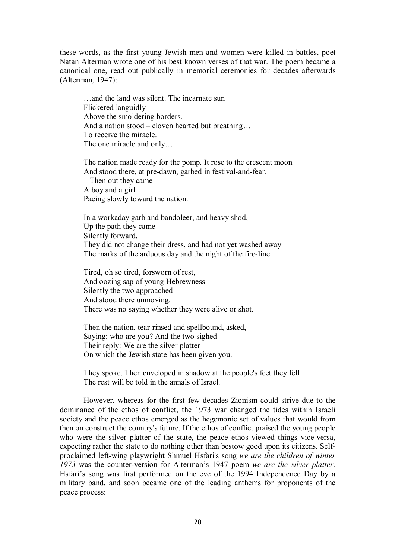these words, as the first young Jewish men and women were killed in battles, poet Natan Alterman wrote one of his best known verses of that war. The poem became a canonical one, read out publically in memorial ceremonies for decades afterwards (Alterman, 1947):

…and the land was silent. The incarnate sun Flickered languidly Above the smoldering borders. And a nation stood – cloven hearted but breathing… To receive the miracle. The one miracle and only…

The nation made ready for the pomp. It rose to the crescent moon And stood there, at pre-dawn, garbed in festival-and-fear. – Then out they came A boy and a girl Pacing slowly toward the nation.

In a workaday garb and bandoleer, and heavy shod, Up the path they came Silently forward. They did not change their dress, and had not yet washed away The marks of the arduous day and the night of the fire-line.

Tired, oh so tired, forsworn of rest, And oozing sap of young Hebrewness – Silently the two approached And stood there unmoving. There was no saying whether they were alive or shot.

Then the nation, tear-rinsed and spellbound, asked, Saying: who are you? And the two sighed Their reply: We are the silver platter On which the Jewish state has been given you.

They spoke. Then enveloped in shadow at the people's feet they fell The rest will be told in the annals of Israel.

However, whereas for the first few decades Zionism could strive due to the dominance of the ethos of conflict, the 1973 war changed the tides within Israeli society and the peace ethos emerged as the hegemonic set of values that would from then on construct the country's future. If the ethos of conflict praised the young people who were the silver platter of the state, the peace ethos viewed things vice-versa, expecting rather the state to do nothing other than bestow good upon its citizens. Selfproclaimed left-wing playwright Shmuel Hsfari's song *we are the children of winter 1973* was the counter*-*version for Alterman's 1947 poem *we are the silver platter*. Hsfari's song was first performed on the eve of the 1994 Independence Day by a military band, and soon became one of the leading anthems for proponents of the peace process: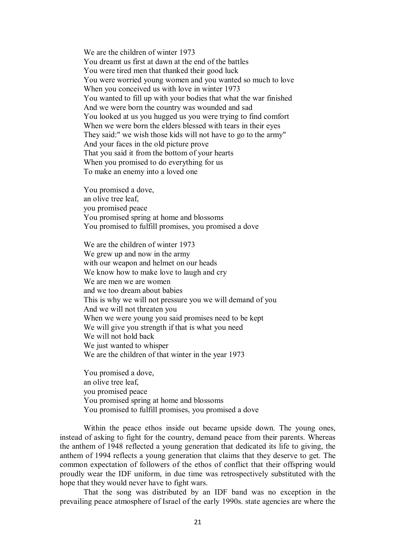We are the children of winter 1973 You dreamt us first at dawn at the end of the battles You were tired men that thanked their good luck You were worried young women and you wanted so much to love When you conceived us with love in winter 1973 You wanted to fill up with your bodies that what the war finished And we were born the country was wounded and sad You looked at us you hugged us you were trying to find comfort When we were born the elders blessed with tears in their eyes They said:" we wish those kids will not have to go to the army" And your faces in the old picture prove That you said it from the bottom of your hearts When you promised to do everything for us To make an enemy into a loved one

You promised a dove, an olive tree leaf, you promised peace You promised spring at home and blossoms You promised to fulfill promises, you promised a dove

We are the children of winter 1973 We grew up and now in the army with our weapon and helmet on our heads We know how to make love to laugh and cry We are men we are women and we too dream about babies This is why we will not pressure you we will demand of you And we will not threaten you When we were young you said promises need to be kept We will give you strength if that is what you need We will not hold back We just wanted to whisper We are the children of that winter in the year 1973

You promised a dove, an olive tree leaf, you promised peace You promised spring at home and blossoms You promised to fulfill promises, you promised a dove

Within the peace ethos inside out became upside down. The young ones, instead of asking to fight for the country, demand peace from their parents. Whereas the anthem of 1948 reflected a young generation that dedicated its life to giving, the anthem of 1994 reflects a young generation that claims that they deserve to get. The common expectation of followers of the ethos of conflict that their offspring would proudly wear the IDF uniform, in due time was retrospectively substituted with the hope that they would never have to fight wars.

That the song was distributed by an IDF band was no exception in the prevailing peace atmosphere of Israel of the early 1990s. state agencies are where the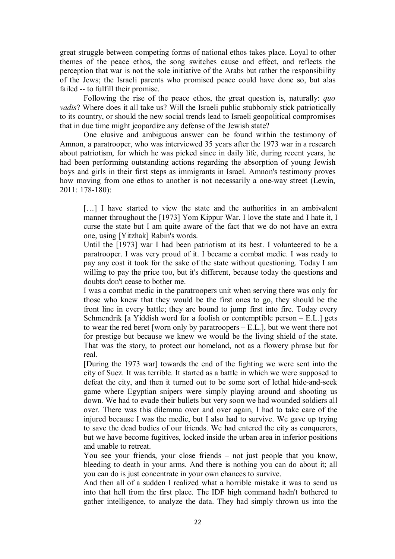great struggle between competing forms of national ethos takes place. Loyal to other themes of the peace ethos, the song switches cause and effect, and reflects the perception that war is not the sole initiative of the Arabs but rather the responsibility of the Jews; the Israeli parents who promised peace could have done so, but alas failed -- to fulfill their promise.

Following the rise of the peace ethos, the great question is, naturally: *quo vadis*? Where does it all take us? Will the Israeli public stubbornly stick patriotically to its country, or should the new social trends lead to Israeli geopolitical compromises that in due time might jeopardize any defense of the Jewish state?

One elusive and ambiguous answer can be found within the testimony of Amnon, a paratrooper, who was interviewed 35 years after the 1973 war in a research about patriotism, for which he was picked since in daily life, during recent years, he had been performing outstanding actions regarding the absorption of young Jewish boys and girls in their first steps as immigrants in Israel. Amnon's testimony proves how moving from one ethos to another is not necessarily a one-way street (Lewin, 2011: 178-180):

[...] I have started to view the state and the authorities in an ambivalent manner throughout the [1973] Yom Kippur War. I love the state and I hate it, I curse the state but I am quite aware of the fact that we do not have an extra one, using [Yitzhak] Rabin's words.

Until the [1973] war I had been patriotism at its best. I volunteered to be a paratrooper. I was very proud of it. I became a combat medic. I was ready to pay any cost it took for the sake of the state without questioning. Today I am willing to pay the price too, but it's different, because today the questions and doubts don't cease to bother me.

I was a combat medic in the paratroopers unit when serving there was only for those who knew that they would be the first ones to go, they should be the front line in every battle; they are bound to jump first into fire. Today every Schmendrik [a Yiddish word for a foolish or contemptible person – E.L.] gets to wear the red beret [worn only by paratroopers – E.L.], but we went there not for prestige but because we knew we would be the living shield of the state. That was the story, to protect our homeland, not as a flowery phrase but for real.

[During the 1973 war] towards the end of the fighting we were sent into the city of Suez. It was terrible. It started as a battle in which we were supposed to defeat the city, and then it turned out to be some sort of lethal hide-and-seek game where Egyptian snipers were simply playing around and shooting us down. We had to evade their bullets but very soon we had wounded soldiers all over. There was this dilemma over and over again, I had to take care of the injured because I was the medic, but I also had to survive. We gave up trying to save the dead bodies of our friends. We had entered the city as conquerors, but we have become fugitives, locked inside the urban area in inferior positions and unable to retreat.

You see your friends, your close friends – not just people that you know, bleeding to death in your arms. And there is nothing you can do about it; all you can do is just concentrate in your own chances to survive.

And then all of a sudden I realized what a horrible mistake it was to send us into that hell from the first place. The IDF high command hadn't bothered to gather intelligence, to analyze the data. They had simply thrown us into the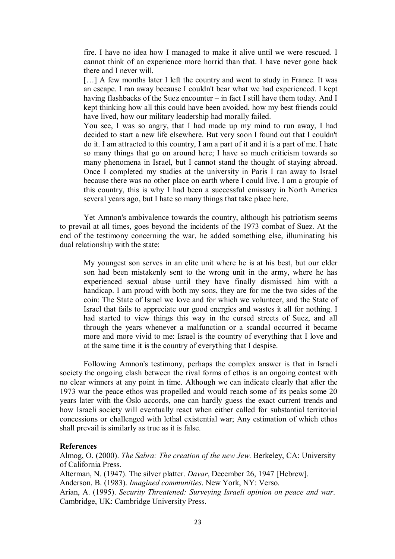fire. I have no idea how I managed to make it alive until we were rescued. I cannot think of an experience more horrid than that. I have never gone back there and I never will.

[...] A few months later I left the country and went to study in France. It was an escape. I ran away because I couldn't bear what we had experienced. I kept having flashbacks of the Suez encounter – in fact I still have them today. And I kept thinking how all this could have been avoided, how my best friends could have lived, how our military leadership had morally failed.

You see, I was so angry, that I had made up my mind to run away, I had decided to start a new life elsewhere. But very soon I found out that I couldn't do it. I am attracted to this country, I am a part of it and it is a part of me. I hate so many things that go on around here; I have so much criticism towards so many phenomena in Israel, but I cannot stand the thought of staying abroad. Once I completed my studies at the university in Paris I ran away to Israel because there was no other place on earth where I could live. I am a groupie of this country, this is why I had been a successful emissary in North America several years ago, but I hate so many things that take place here.

Yet Amnon's ambivalence towards the country, although his patriotism seems to prevail at all times, goes beyond the incidents of the 1973 combat of Suez. At the end of the testimony concerning the war, he added something else, illuminating his dual relationship with the state:

My youngest son serves in an elite unit where he is at his best, but our elder son had been mistakenly sent to the wrong unit in the army, where he has experienced sexual abuse until they have finally dismissed him with a handicap. I am proud with both my sons, they are for me the two sides of the coin: The State of Israel we love and for which we volunteer, and the State of Israel that fails to appreciate our good energies and wastes it all for nothing. I had started to view things this way in the cursed streets of Suez, and all through the years whenever a malfunction or a scandal occurred it became more and more vivid to me: Israel is the country of everything that I love and at the same time it is the country of everything that I despise.

Following Amnon's testimony, perhaps the complex answer is that in Israeli society the ongoing clash between the rival forms of ethos is an ongoing contest with no clear winners at any point in time. Although we can indicate clearly that after the 1973 war the peace ethos was propelled and would reach some of its peaks some 20 years later with the Oslo accords, one can hardly guess the exact current trends and how Israeli society will eventually react when either called for substantial territorial concessions or challenged with lethal existential war; Any estimation of which ethos shall prevail is similarly as true as it is false.

### **References**

Almog, O. (2000). *The Sabra: The creation of the new Jew*. Berkeley, CA: University of California Press. Alterman, N. (1947). The silver platter. *Davar*, December 26, 1947 [Hebrew]. Anderson, B. (1983). *Imagined communities*. New York, NY: Verso.

Arian, A. (1995). *Security Threatened: Surveying Israeli opinion on peace and war*. Cambridge, UK: Cambridge University Press.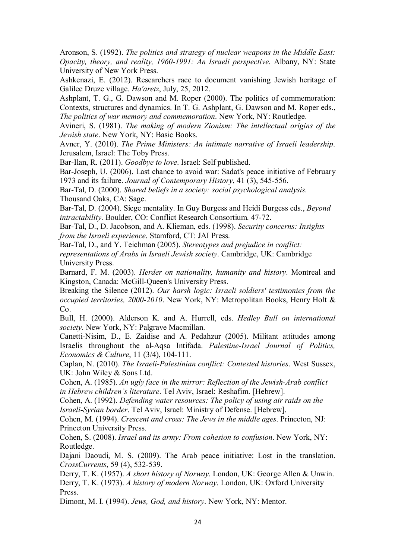Aronson, S. (1992). *The politics and strategy of nuclear weapons in the Middle East: Opacity, theory, and reality, 1960-1991: An Israeli perspective*. Albany, NY: State University of New York Press.

Ashkenazi, E. (2012). Researchers race to document vanishing Jewish heritage of Galilee Druze village. *Ha'aretz*, July, 25, 2012.

Ashplant, T. G., G. Dawson and M. Roper (2000). The politics of commemoration: Contexts, structures and dynamics. In T. G. Ashplant, G. Dawson and M. Roper eds., *The politics of war memory and commemoration*. New York, NY: Routledge.

Avineri, S. (1981). *The making of modern Zionism: The intellectual origins of the Jewish state*. New York, NY: Basic Books.

Avner, Y. (2010). *The Prime Ministers: An intimate narrative of Israeli leadership*. Jerusalem, Israel: The Toby Press.

Bar-Ilan, R. (2011). *Goodbye to love*. Israel: Self published.

Bar-Joseph, U. (2006). Last chance to avoid war: Sadat's peace initiative of February 1973 and its failure. *Journal of Contemporary History*, 41 (3), 545-556.

Bar-Tal, D. (2000). *Shared beliefs in a society: social psychological analysis*. Thousand Oaks, CA: Sage.

Bar-Tal, D. (2004). Siege mentality. In Guy Burgess and Heidi Burgess eds., *Beyond intractability*. Boulder, CO: Conflict Research Consortium. 47-72.

Bar-Tal, D., D. Jacobson, and A. Klieman, eds. (1998). *Security concerns: Insights from the Israeli experience*. Stamford, CT: JAI Press.

Bar-Tal, D., and Y. Teichman (2005). *Stereotypes and prejudice in conflict: representations of Arabs in Israeli Jewish society*. Cambridge, UK: Cambridge University Press.

Barnard, F. M. (2003). *Herder on nationality, humanity and history*. Montreal and Kingston, Canada: McGill-Queen's University Press.

Breaking the Silence (2012). *Our harsh logic: Israeli soldiers' testimonies from the occupied territories, 2000-2010*. New York, NY: Metropolitan Books, Henry Holt & Co.

Bull, H. (2000). Alderson K. and A. Hurrell, eds. *Hedley Bull on international society*. New York, NY: Palgrave Macmillan.

Canetti-Nisim, D., E. Zaidise and A. Pedahzur (2005). Militant attitudes among Israelis throughout the al-Aqsa Intifada. *Palestine-Israel Journal of Politics, Economics & Culture*, 11 (3/4), 104-111.

Caplan, N. (2010). *The Israeli-Palestinian conflict: Contested histories*. West Sussex, UK: John Wiley & Sons Ltd.

Cohen, A. (1985). *An ugly face in the mirror: Reflection of the Jewish-Arab conflict in Hebrew children's literature*. Tel Aviv, Israel: Reshafim. [Hebrew].

Cohen, A. (1992). *Defending water resources: The policy of using air raids on the Israeli-Syrian border*. Tel Aviv, Israel: Ministry of Defense. [Hebrew].

Cohen, M. (1994). *Crescent and cross: The Jews in the middle ages*. Princeton, NJ: Princeton University Press.

Cohen, S. (2008). *Israel and its army: From cohesion to confusion*. New York, NY: Routledge.

Dajani Daoudi, M. S. (2009). The Arab peace initiative: Lost in the translation. *CrossCurrents*, 59 (4), 532-539.

Derry, T. K. (1957). *A short history of Norway*. London, UK: George Allen & Unwin. Derry, T. K. (1973). *A history of modern Norway*. London, UK: Oxford University Press.

Dimont, M. I. (1994). *Jews, God, and history*. New York, NY: Mentor.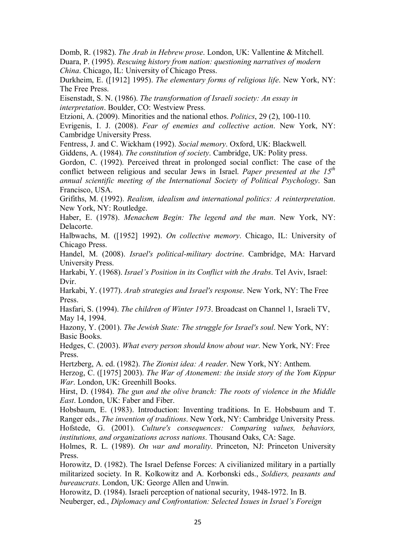Domb, R. (1982). *The Arab in Hebrew prose*. London, UK: Vallentine & Mitchell. Duara, P. (1995). *Rescuing history from nation: questioning narratives of modern China*. Chicago, IL: University of Chicago Press.

Durkheim, E. ([1912] 1995). *The elementary forms of religious life*. New York, NY: The Free Press.

Eisenstadt, S. N. (1986). *The transformation of Israeli society: An essay in interpretation*. Boulder, CO: Westview Press.

Etzioni, A. (2009). Minorities and the national ethos. *Politics*, 29 (2), 100-110.

Evrigenis, I. J. (2008). *Fear of enemies and collective action*. New York, NY: Cambridge University Press.

Fentress, J. and C. Wickham (1992). *Social memory*. Oxford, UK: Blackwell.

Giddens, A. (1984). *The constitution of society*. Cambridge, UK: Polity press.

Gordon, C. (1992). Perceived threat in prolonged social conflict: The case of the conflict between religious and secular Jews in Israel. *Paper presented at the 15th annual scientific meeting of the International Society of Political Psychology*. San Francisco, USA.

Grifiths, M. (1992). *Realism, idealism and international politics: A reinterpretation*. New York, NY: Routledge.

Haber, E. (1978). *Menachem Begin: The legend and the man*. New York, NY: Delacorte.

Halbwachs, M. ([1952] 1992). *On collective memory*. Chicago, IL: University of Chicago Press.

Handel, M. (2008). *Israel's political-military doctrine*. Cambridge, MA: Harvard University Press.

Harkabi, Y. (1968). *Israel's Position in its Conflict with the Arabs*. Tel Aviv, Israel: Dvir.

Harkabi, Y. (1977). *Arab strategies and Israel's response*. New York, NY: The Free Press.

Hasfari, S. (1994). *The children of Winter 1973*. Broadcast on Channel 1, Israeli TV, May 14, 1994.

Hazony, Y. (2001). *The Jewish State: The struggle for Israel's soul*. New York, NY: Basic Books.

Hedges, C. (2003). *What every person should know about war*. New York, NY: Free Press.

Hertzberg, A. ed. (1982). *The Zionist idea: A reader*. New York, NY: Anthem.

Herzog, C. ([1975] 2003). *The War of Atonement: the inside story of the Yom Kippur War*. London, UK: Greenhill Books.

Hirst, D. (1984). *The gun and the olive branch: The roots of violence in the Middle East*. London, UK: Faber and Fiber.

Hobsbaum, E. (1983). Introduction: Inventing traditions. In E. Hobsbaum and T. Ranger eds., *The invention of traditions*. New York, NY: Cambridge University Press. Hofstede, G. (2001). *Culture's consequences: Comparing values, behaviors, institutions, and organizations across nations*. Thousand Oaks, CA: Sage.

Holmes, R. L. (1989). *On war and morality*. Princeton, NJ: Princeton University Press.

Horowitz, D. (1982). The Israel Defense Forces: A civilianized military in a partially militarized society. In R. Kolkowitz and A. Korbonski eds., *Soldiers, peasants and bureaucrats*. London, UK: George Allen and Unwin.

Horowitz, D. (1984). Israeli perception of national security, 1948-1972. In B. Neuberger, ed., *Diplomacy and Confrontation: Selected Issues in Israel's Foreign*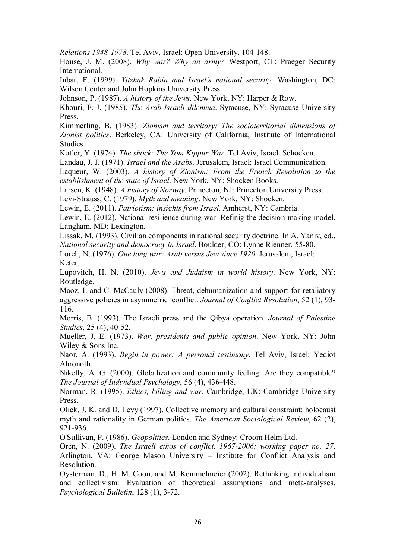*Relations 1948-1978*. Tel Aviv, Israel: Open University. 104-148.

House, J. M. (2008). *Why war? Why an army?* Westport, CT: Praeger Security International.

Inbar, E. (1999). *Yitzhak Rabin and Israel's national security*. Washington, DC: Wilson Center and John Hopkins University Press.

Johnson, P. (1987). *A history of the Jews*. New York, NY: Harper & Row.

Khouri, F. J. (1985). *The Arab-Israeli dilemma*. Syracuse, NY: Syracuse University Press.

Kimmerling, B. (1983). *Zionism and territory: The socioterritorial dimensions of Zionist politics*. Berkeley, CA: University of California, Institute of International Studies.

Kotler, Y. (1974). *The shock: The Yom Kippur War*. Tel Aviv, Israel: Schocken.

Landau, J. J. (1971). *Israel and the Arabs*. Jerusalem, Israel: Israel Communication.

Laqueur, W. (2003). *A history of Zionism: From the French Revolution to the establishment of the state of Israel*. New York, NY: Shocken Books.

Larsen, K. (1948). *A history of Norway*. Princeton, NJ: Princeton University Press.

Levi-Strauss, C. (1979). *Myth and meaning*. New York, NY: Shocken.

Lewin, E. (2011). *Patriotism: insights from Israel*. Amherst, NY: Cambria.

Lewin, E. (2012). National resilience during war: Refinig the decision-making model. Langham, MD: Lexington.

Lissak, M. (1993). Civilian components in national security doctrine. In A. Yaniv, ed., *National security and democracy in Israel*. Boulder, CO: Lynne Rienner. 55-80.

Lorch, N. (1976). *One long war: Arab versus Jew since 1920*. Jerusalem, Israel: Keter.

Lupovitch, H. N. (2010). *Jews and Judaism in world history*. New York, NY: Routledge.

Maoz, I. and C. McCauly (2008). Threat, dehumanization and support for retaliatory aggressive policies in asymmetric conflict. *Journal of Conflict Resolution*, 52 (1), 93- 116.

Morris, B. (1993). The Israeli press and the Qibya operation. *Journal of Palestine Studies*, 25 (4), 40-52.

Mueller, J. E. (1973). *War, presidents and public opinion*. New York, NY: John Wiley & Sons Inc.

Naor, A. (1993). *Begin in power: A personal testimony*. Tel Aviv, Israel: Yediot Ahronoth.

Nikelly, A. G. (2000). Globalization and community feeling: Are they compatible? *The Journal of Individual Psychology*, 56 (4), 436-448.

Norman, R. (1995). *Ethics, killing and war*. Cambridge, UK: Cambridge University Press.

Olick, J. K. and D. Levy (1997). Collective memory and cultural constraint: holocaust myth and rationality in German politics. *The American Sociological Review*, 62 (2), 921-936.

O'Sullivan, P. (1986). *Geopolitics*. London and Sydney: Croom Helm Ltd.

Oren, N. (2009). *The Israeli ethos of conflict, 1967-2006; working paper no. 27*. Arlington, VA: George Mason University – Institute for Conflict Analysis and Resolution.

Oysterman, D., H. M. Coon, and M. Kemmelmeier (2002). Rethinking individualism and collectivism: Evaluation of theoretical assumptions and meta-analyses. *Psychological Bulletin*, 128 (1), 3-72.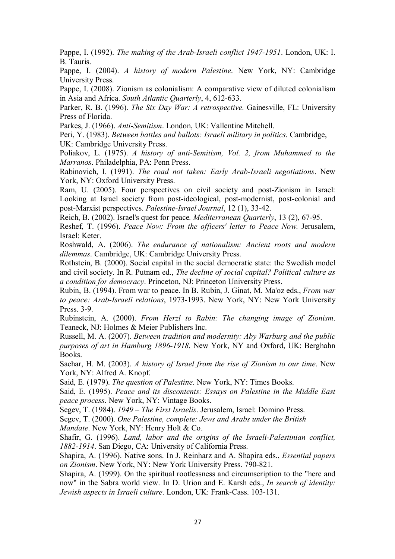Pappe, I. (1992). *The making of the Arab-Israeli conflict 1947-1951*. London, UK: I. B. Tauris.

Pappe, I. (2004). *A history of modern Palestine*. New York, NY: Cambridge University Press.

Pappe, I. (2008). Zionism as colonialism: A comparative view of diluted colonialism in Asia and Africa. *South Atlantic Quarterly*, 4, 612-633.

Parker, R. B. (1996). *The Six Day War: A retrospective*. Gainesville, FL: University Press of Florida.

Parkes, J. (1966). *Anti-Semitism*. London, UK: Vallentine Mitchell.

Peri, Y. (1983). *Between battles and ballots: Israeli military in politics*. Cambridge, UK: Cambridge University Press.

Poliakov, L. (1975). *A history of anti-Semitism, Vol. 2, from Muhammed to the Marranos*. Philadelphia, PA: Penn Press.

Rabinovich, I. (1991). *The road not taken: Early Arab-Israeli negotiations*. New York, NY: Oxford University Press.

Ram, U. (2005). Four perspectives on civil society and post-Zionism in Israel: Looking at Israel society from post-ideological, post-modernist, post-colonial and post-Marxist perspectives. *Palestine-Israel Journal*, 12 (1), 33-42.

Reich, B. (2002). Israel's quest for peace*. Mediterranean Quarterly*, 13 (2), 67-95.

Reshef, T. (1996). *Peace Now: From the officers' letter to Peace Now*. Jerusalem, Israel: Keter.

Roshwald, A. (2006). *The endurance of nationalism: Ancient roots and modern dilemmas*. Cambridge, UK: Cambridge University Press.

Rothstein, B. (2000). Social capital in the social democratic state: the Swedish model and civil society. In R. Putnam ed., *The decline of social capital? Political culture as a condition for democracy*. Princeton, NJ: Princeton University Press.

Rubin, B. (1994). From war to peace. In B. Rubin, J. Ginat, M. Ma'oz eds., *From war to peace: Arab-Israeli relations*, 1973-1993. New York, NY: New York University Press. 3-9.

Rubinstein, A. (2000). *From Herzl to Rabin: The changing image of Zionism*. Teaneck, NJ: Holmes & Meier Publishers Inc.

Russell, M. A. (2007). *Between tradition and modernity: Aby Warburg and the public purposes of art in Hamburg 1896-1918*. New York, NY and Oxford, UK: Berghahn Books.

Sachar, H. M. (2003). *A history of Israel from the rise of Zionism to our time*. New York, NY: Alfred A. Knopf.

Said, E. (1979). *The question of Palestine*. New York, NY: Times Books.

Said, E. (1995). *Peace and its discontents: Essays on Palestine in the Middle East peace process*. New York, NY: Vintage Books.

Segev, T. (1984). *1949 – The First Israelis*. Jerusalem, Israel: Domino Press.

Segev, T. (2000). *One Palestine, complete: Jews and Arabs under the British*

*Mandate*. New York, NY: Henry Holt & Co.

Shafir, G. (1996). *Land, labor and the origins of the Israeli-Palestinian conflict, 1882-1914*. San Diego, CA: University of California Press.

Shapira, A. (1996). Native sons. In J. Reinharz and A. Shapira eds., *Essential papers on Zionism*. New York, NY: New York University Press. 790-821.

Shapira, A. (1999). On the spiritual rootlessness and circumscription to the "here and now" in the Sabra world view. In D. Urion and E. Karsh eds., *In search of identity: Jewish aspects in Israeli culture*. London, UK: Frank-Cass. 103-131.